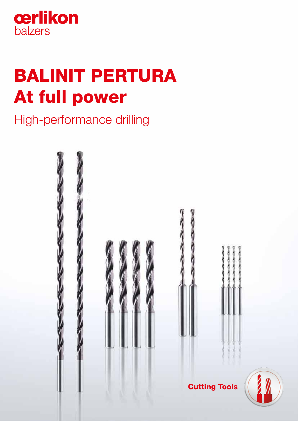

# BALINIT PERTURA At full power

High-performance drilling

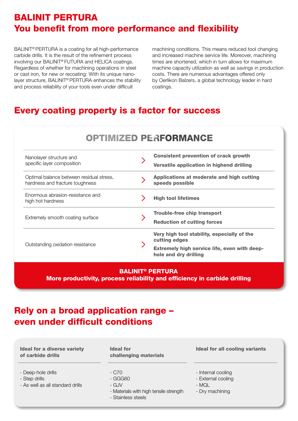# BALINIT PERTURA You benefit from more performance and flexibility

BALINIT® PERTURA is a coating for all high-performance carbide drills. It is the result of the refinement process involving our BALINIT® FUTURA and HELICA coatings. Regardless of whether for machining operations in steel or cast iron, for new or recoating: With its unique nanolayer structure, BALINIT® PERTURA enhances the stability and process reliability of your tools even under difficult

machining conditions. This means reduced tool changing and increased machine service life. Moreover, machining times are shortened, which in turn allows for maximum machine capacity utilization as well as savings in production costs. There are numerous advantages offered only by Oerlikon Balzers, a global technology leader in hard coatings.

# Every coating property is a factor for success

| <b>OPTIMIZED PERFORMANCE</b>                                                |  |                                                                                                              |  |
|-----------------------------------------------------------------------------|--|--------------------------------------------------------------------------------------------------------------|--|
| Nanolayer structure and<br>specific layer composition                       |  | <b>Consistent prevention of crack growth</b><br>Versatile application in highend drilling                    |  |
| Optimal balance between residual stress,<br>hardness and fracture toughness |  | Applications at moderate and high cutting<br>speeds possible                                                 |  |
| Enormous abrasion-resistance and<br>high hot hardness                       |  | <b>High tool lifetimes</b>                                                                                   |  |
| Extremely smooth coating surface                                            |  | <b>Trouble-free chip transport</b><br><b>Reduction of cutting forces</b>                                     |  |
| Outstanding oxidation resistance                                            |  | Very high tool stability, especially of the<br>cutting edges<br>Extremely high service life, even with deep- |  |
|                                                                             |  | hole and dry drilling                                                                                        |  |

#### BALINIT® PERTURA

More productivity, process reliability and efficiency in carbide drilling

## Rely on a broad application range – even under difficult conditions

| <b>Ideal for a diverse variety</b><br>of carbide drills                 | <b>Ideal for</b><br>challenging materials                                                 | <b>Ideal for all cooling variants</b>                                |
|-------------------------------------------------------------------------|-------------------------------------------------------------------------------------------|----------------------------------------------------------------------|
| - Deep-hole drills<br>- Step drills<br>- As well as all standard drills | - C70<br>- GGG60<br>- GJV<br>- Materials with high tensile strength<br>- Stainless steels | - Internal cooling<br>- External cooling<br>- MQL<br>- Dry machining |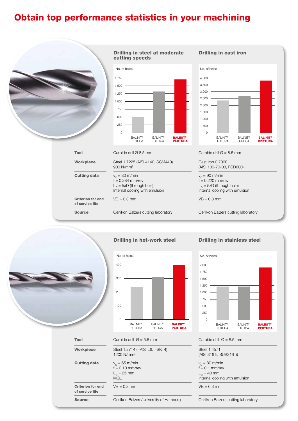# Obtain top performance statistics in your machining





#### $\Omega$ 100 200 300  $400$ **BALINIT<sup>®</sup> PERTURA BALINIT® HELICA BALINIT®** FUTURA No. of holes

Drilling in hot-work steel

#### Drilling in stainless steel



#### **Tool** Carbide drill  $\varnothing = 5.5$  mm Carbide drill  $\varnothing = 8.5$  mm

| Steel 1.2714 (~AISI L6, ~SKT4) | Steel 1.4571                   |
|--------------------------------|--------------------------------|
| 1200 N/mm <sup>2</sup>         | (AISI 316Ti, SUS316Ti)         |
| $v_c = 65$ m/min               | $v_c = 80$ m/min               |
| $f = 0.10$ mm/rev              | $f = 0.1$ mm/rev               |
| $L_n = 25$ mm                  | $L_n = 40$ mm                  |
| <b>MQL</b>                     | Internal cooling with emulsion |
| $VB = 0.3$ mm                  | $VB = 0.3$ mm                  |

Workpiece Steel 1.2714 (~AISI L6, ~SKT4)

**Cutting data**  $v_c = 65$  m/min

Criterion for end of service life

**Source Source** Oerlikon Balzers/University of Hamburg **Oerlikon Balzers cutting laboratory**